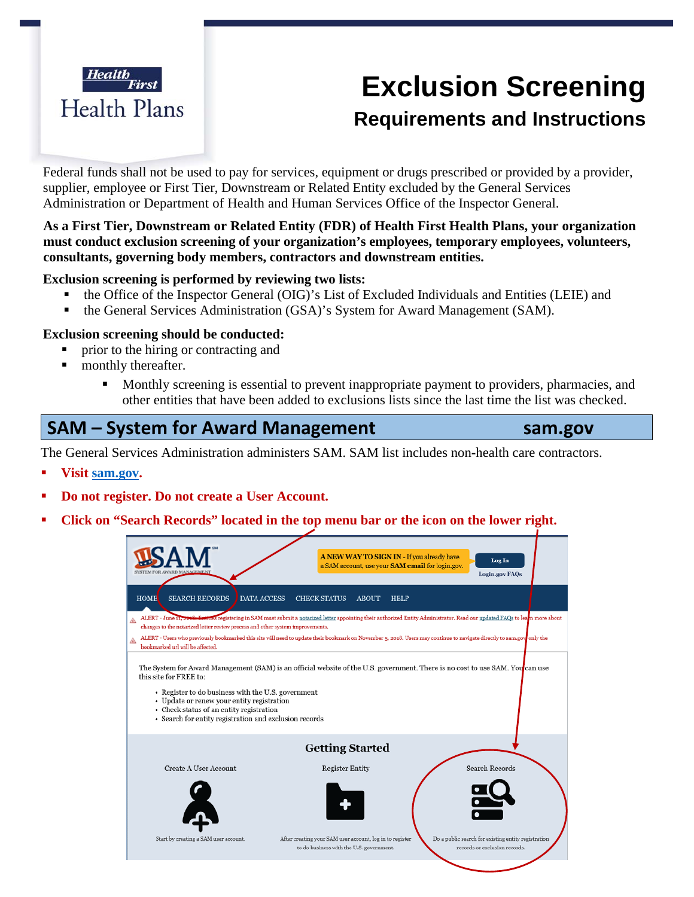

# **Exclusion Screening Requirements and Instructions**

Federal funds shall not be used to pay for services, equipment or drugs prescribed or provided by a provider, supplier, employee or First Tier, Downstream or Related Entity excluded by the General Services Administration or Department of Health and Human Services Office of the Inspector General.

#### **As a First Tier, Downstream or Related Entity (FDR) of Health First Health Plans, your organization must conduct exclusion screening of your organization's employees, temporary employees, volunteers, consultants, governing body members, contractors and downstream entities.**

#### **Exclusion screening is performed by reviewing two lists:**

- the Office of the Inspector General (OIG)'s List of Excluded Individuals and Entities (LEIE) and
- the General Services Administration (GSA)'s System for Award Management (SAM).

#### **Exclusion screening should be conducted:**

- prior to the hiring or contracting and
- **nonthly thereafter.** 
	- **Monthly screening is essential to prevent inappropriate payment to providers, pharmacies, and** other entities that have been added to exclusions lists since the last time the list was checked.

### **SAM – System for Award Management sam.gov**

The General Services Administration administers SAM. SAM list includes non**-**health care contractors.

- **Visit sam.gov.**
- **Do not register. Do not create a User Account.**
- **Click on "Search Records" located in the top menu bar or the icon on the lower right.**

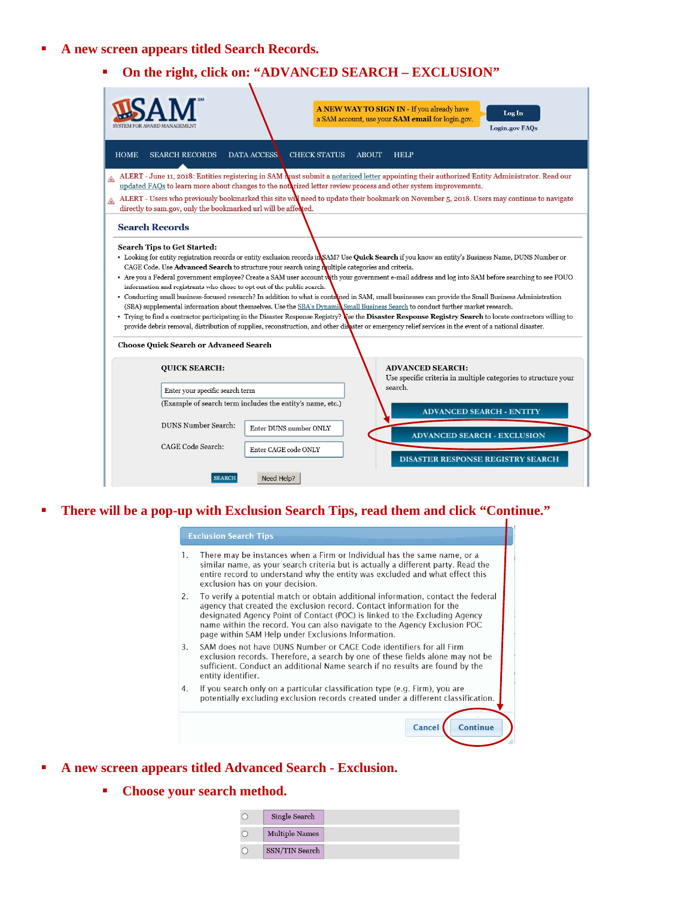- **A new screen appears titled Search Records.** 
	- **On the right, click on: "ADVANCED SEARCH EXCLUSION"**

|                                                                                                                                                                                                                                                                                                                                                                                                                                                                                                                                                                                                                                                                                                                                                                                                                                                                                                                                                                                                                                                                                                                                                                                                     | A NEW WAY TO SIGN IN - If you already have<br>Log In<br>a SAM account, use your SAM email for login.gov.<br>Login.gov FAQs                   |  |  |
|-----------------------------------------------------------------------------------------------------------------------------------------------------------------------------------------------------------------------------------------------------------------------------------------------------------------------------------------------------------------------------------------------------------------------------------------------------------------------------------------------------------------------------------------------------------------------------------------------------------------------------------------------------------------------------------------------------------------------------------------------------------------------------------------------------------------------------------------------------------------------------------------------------------------------------------------------------------------------------------------------------------------------------------------------------------------------------------------------------------------------------------------------------------------------------------------------------|----------------------------------------------------------------------------------------------------------------------------------------------|--|--|
| <b>HOME</b><br><b>SEARCH RECORDS</b><br><b>DATA ACCESS</b>                                                                                                                                                                                                                                                                                                                                                                                                                                                                                                                                                                                                                                                                                                                                                                                                                                                                                                                                                                                                                                                                                                                                          | <b>CHECK STATUS</b><br><b>ABOUT</b><br><b>HELP</b>                                                                                           |  |  |
| ◬<br>updated FAQs to learn more about changes to the notarized letter review process and other system improvements.                                                                                                                                                                                                                                                                                                                                                                                                                                                                                                                                                                                                                                                                                                                                                                                                                                                                                                                                                                                                                                                                                 | ALERT - June 11, 2018: Entities registering in SAM hust submit a notarized letter appointing their authorized Entity Administrator. Read our |  |  |
| ⚠<br>directly to sam.gov, only the bookmarked url will be affected.                                                                                                                                                                                                                                                                                                                                                                                                                                                                                                                                                                                                                                                                                                                                                                                                                                                                                                                                                                                                                                                                                                                                 | ALERT - Users who previously bookmarked this site will need to update their bookmark on November 5, 2018. Users may continue to navigate     |  |  |
| <b>Search Records</b>                                                                                                                                                                                                                                                                                                                                                                                                                                                                                                                                                                                                                                                                                                                                                                                                                                                                                                                                                                                                                                                                                                                                                                               |                                                                                                                                              |  |  |
| <b>Search Tips to Get Started:</b><br>• Looking for entity registration records or entity exclusion records in SAM? Use Quick Search if you know an entity's Business Name, DUNS Number or<br>CAGE Code. Use Advanced Search to structure your search using multiple categories and criteria.<br>. Are you a Federal government employee? Create a SAM user account with your government e-mail address and log into SAM before searching to see FOUO<br>information and registrants who chose to opt out of the public search.<br>• Conducting small business-focused research? In addition to what is contaned in SAM, small businesses can provide the Small Business Administration<br>(SBA) supplemental information about themselves. Use the SBA's Dynamid Small Business Search to conduct further market research.<br>• Trying to find a contractor participating in the Disaster Response Registry? Wee the Disaster Response Registry Search to locate contractors willing to<br>provide debris removal, distribution of supplies, reconstruction, and other disaster or emergency relief services in the event of a national disaster.<br><b>Choose Quick Search or Advanced Search</b> |                                                                                                                                              |  |  |
| <b>QUICK SEARCH:</b>                                                                                                                                                                                                                                                                                                                                                                                                                                                                                                                                                                                                                                                                                                                                                                                                                                                                                                                                                                                                                                                                                                                                                                                | <b>ADVANCED SEARCH:</b><br>Use specific criteria in multiple categories to structure your<br>search.                                         |  |  |
| Enter your specific search term<br>(Example of search term includes the entity's name, etc.)                                                                                                                                                                                                                                                                                                                                                                                                                                                                                                                                                                                                                                                                                                                                                                                                                                                                                                                                                                                                                                                                                                        |                                                                                                                                              |  |  |
| <b>DUNS Number Search:</b><br>Enter DUNS number ONLY                                                                                                                                                                                                                                                                                                                                                                                                                                                                                                                                                                                                                                                                                                                                                                                                                                                                                                                                                                                                                                                                                                                                                | <b>ADVANCED SEARCH - ENTITY</b>                                                                                                              |  |  |
| CAGE Code Search:<br>Enter CAGE code ONLY                                                                                                                                                                                                                                                                                                                                                                                                                                                                                                                                                                                                                                                                                                                                                                                                                                                                                                                                                                                                                                                                                                                                                           | <b>ADVANCED SEARCH - EXCLUSION</b><br><b>DISASTER RESPONSE REGISTRY SEARCH</b>                                                               |  |  |
| Need Help?<br><b>SEARCH</b>                                                                                                                                                                                                                                                                                                                                                                                                                                                                                                                                                                                                                                                                                                                                                                                                                                                                                                                                                                                                                                                                                                                                                                         |                                                                                                                                              |  |  |

**There will be a pop-up with Exclusion Search Tips, read them and click "Continue."** 

| 1. | There may be instances when a Firm or Individual has the same name, or a<br>similar name, as your search criteria but is actually a different party. Read the<br>entire record to understand why the entity was excluded and what effect this<br>exclusion has on your decision.                                                                                            |
|----|-----------------------------------------------------------------------------------------------------------------------------------------------------------------------------------------------------------------------------------------------------------------------------------------------------------------------------------------------------------------------------|
| 2. | To verify a potential match or obtain additional information, contact the federal<br>agency that created the exclusion record. Contact information for the<br>designated Agency Point of Contact (POC) is linked to the Excluding Agency<br>name within the record. You can also navigate to the Agency Exclusion POC<br>page within SAM Help under Exclusions Information. |
| 3. | SAM does not have DUNS Number or CAGE Code identifiers for all Firm<br>exclusion records. Therefore, a search by one of these fields alone may not be<br>sufficient. Conduct an additional Name search if no results are found by the<br>entity identifier.                                                                                                                 |
| 4. | If you search only on a particular classification type (e.g. Firm), you are<br>potentially excluding exclusion records created under a different classification.                                                                                                                                                                                                            |

- **A new screen appears titled Advanced Search Exclusion.** 
	- **Choose your search method.**

| Single Search         |
|-----------------------|
| <b>Multiple Names</b> |
| SSN/TIN Search        |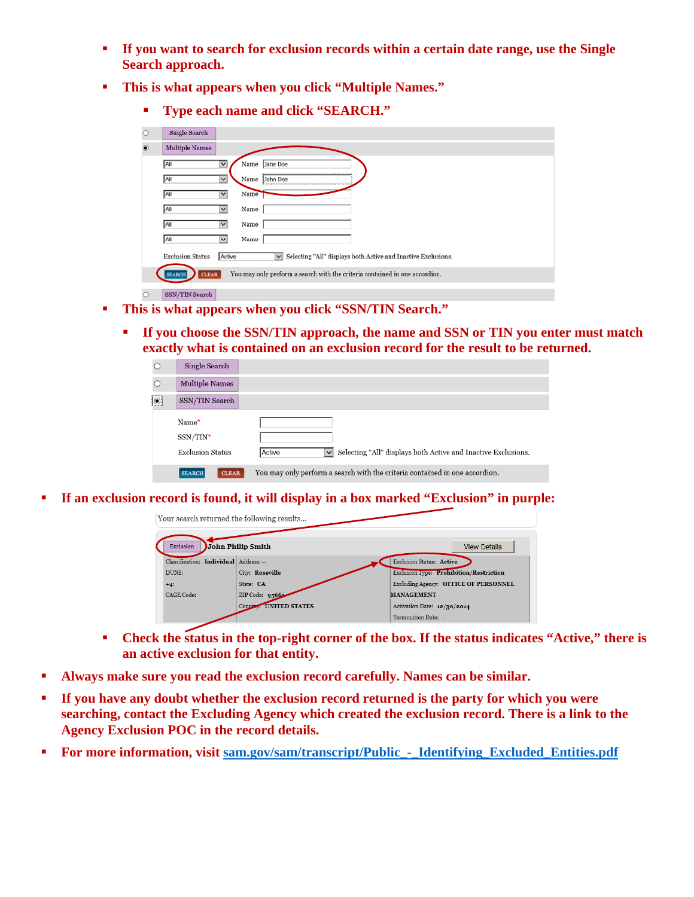- **If you want to search for exclusion records within a certain date range, use the Single Search approach.**
- **This is what appears when you click "Multiple Names."** 
	- **Type each name and click "SEARCH."**

| $\circ$          | Single Search                 |                         |                                                                             |
|------------------|-------------------------------|-------------------------|-----------------------------------------------------------------------------|
| $\circledbullet$ | <b>Multiple Names</b>         |                         |                                                                             |
|                  | All                           | $\overline{\mathsf{v}}$ | Jane Doe<br>Name                                                            |
|                  | <b>All</b>                    | $\vert$ $\vert$         | Name<br>John Doe                                                            |
|                  | All                           | $\check{ }$             | Name                                                                        |
|                  | All                           | $\checkmark$            | Name                                                                        |
|                  | All                           | $\check{ }$             | Name                                                                        |
|                  | All                           | $\checkmark$            | Name                                                                        |
|                  | <b>Exclusion Status</b>       | Active                  | Selecting "All" displays both Active and Inactive Exclusions.<br>$\vee$     |
|                  | <b>CLEAR</b><br><b>SEARCH</b> |                         | You may only perform a search with the criteria contained in one accordion. |
| $\circ$          | SSN/TIN Search                |                         |                                                                             |

- **This is what appears when you click "SSN/TIN Search."** 
	- **If you choose the SSN/TIN approach, the name and SSN or TIN you enter must match exactly what is contained on an exclusion record for the result to be returned.**

|         | Single Search                 |                                                                                         |
|---------|-------------------------------|-----------------------------------------------------------------------------------------|
|         | <b>Multiple Names</b>         |                                                                                         |
| $\odot$ | SSN/TIN Search                |                                                                                         |
|         | Name*                         |                                                                                         |
|         | $SSN/TIN^*$                   |                                                                                         |
|         | <b>Exclusion Status</b>       | Selecting "All" displays both Active and Inactive Exclusions.<br>Active<br>$\checkmark$ |
|         | <b>CLEAR</b><br><b>SEARCH</b> | You may only perform a search with the criteria contained in one accordion.             |

**If an exclusion record is found, it will display in a box marked "Exclusion" in purple:** 



- **Check the status in the top-right corner of the box. If the status indicates "Active," there is an active exclusion for that entity.**
- **Always make sure you read the exclusion record carefully. Names can be similar.**
- **If you have any doubt whether the exclusion record returned is the party for which you were searching, contact the Excluding Agency which created the exclusion record. There is a link to the Agency Exclusion POC in the record details.**
- **For more information, visit sam.gov/sam/transcript/Public\_-\_Identifying\_Excluded\_Entities.pdf**